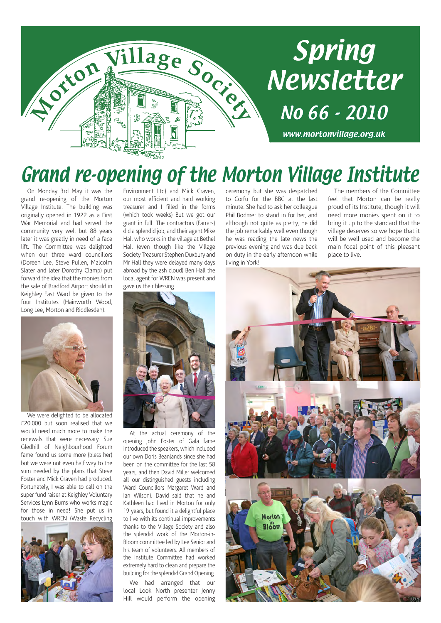

# Spring Newsletter

www.mortonvillage.org.uk

No 66 - 2010

## Grand re-opening of the Morton Village Institute

On Monday 3rd May it was the grand re-opening of the Morton Village Institute. The building was originally opened in 1922 as a First War Memorial and had served the community very well but 88 years later it was greatly in need of a face lift. The Committee was delighted when our three ward councillors (Doreen Lee, Steve Pullen, Malcolm Slater and later Dorothy Clamp) put forward the idea that the monies from the sale of Bradford Airport should in Keighley East Ward be given to the four Institutes (Hainworth Wood, Long Lee, Morton and Riddlesden).



We were delighted to be allocated £20,000 but soon realised that we would need much more to make the renewals that were necessary. Sue Gledhill of Neighbourhood Forum fame found us some more (bless her) but we were not even half way to the sum needed by the plans that Steve Foster and Mick Craven had produced. Fortunately, I was able to call on the super fund raiser at Keighley Voluntary Services Lynn Burns who works magic for those in need! She put us in touch with WREN (Waste Recycling



Environment Ltd) and Mick Craven, our most efficient and hard working treasurer and I filled in the forms (which took weeks) But we got our grant in full. The contractors (Farrars) did a splendid job, and their agent Mike Hall who works in the village at Bethel Hall (even though like the Village Society Treasurer Stephen Duxbury and Mr Hall they were delayed many days abroad by the ash cloud) Ben Hall the local agent for WREN was present and gave us their blessing.



At the actual ceremony of the opening John Foster of Gala fame introduced the speakers, which included our own Doris Beanlands since she had been on the committee for the last 58 years, and then David Miller welcomed all our distinguished guests including Ward Councillors Margaret Ward and Ian Wilson). David said that he and Kathleen had lived in Morton for only 19 years, but found it a delightful place to live with its continual improvements thanks to the Village Society and also the splendid work of the Morton-in-Bloom committee led by Lee Senior and his team of volunteers. All members of the Institute Committee had worked extremely hard to clean and prepare the building for the splendid Grand Opening.

We had arranged that our local Look North presenter Jenny Hill would perform the opening

ceremony but she was despatched to Corfu for the BBC at the last minute. She had to ask her colleague Phil Bodmer to stand in for her, and although not quite as pretty, he did the job remarkably well even though he was reading the late news the previous evening and was due back on duty in the early afternoon while living in York!

The members of the Committee feel that Morton can be really proud of its Institute, though it will need more monies spent on it to bring it up to the standard that the village deserves so we hope that it will be well used and become the main focal point of this pleasant place to live.

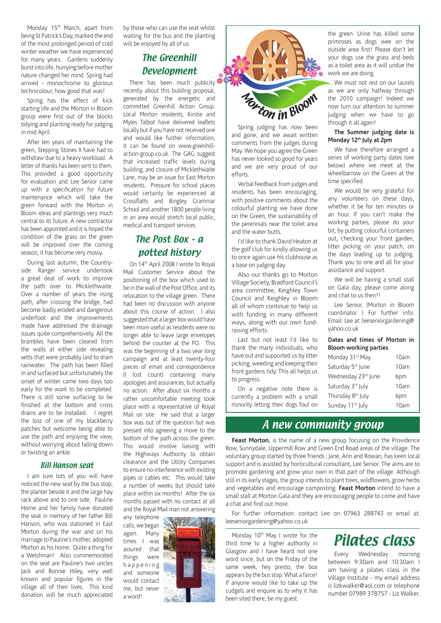Monday 15<sup>th</sup> March, apart from being St Patrick's Day, marked the end of the most prolonged period of cold winter weather we have experienced for many years. Gardens suddenly burst into life, hurrying before mother nature changed her mind. Spring had arrived - monochrome to glorious technicolour, how good that was!

Spring has the effect of kick starting life and the Morton in Bloom group were first out of the blocks tidying and planting ready for judging in mid April.

After ten years of maintaining the green, Stepping Stones II have had to withdraw due to a heavy workload. A letter of thanks has been sent to them. This provided a good opportunity for evaluation and Lee Senior came up with a specification for future maintenance which will take the green forward with the Morton in Bloom ideas and plantings very much central to its future. A new contractor has been appointed and it is hoped the condition of the grass on the green will be improved over the coming season, it has become very mossy.

During last autumn, the Countryside Ranger service undertook a great deal of work to improve the path over to Micklethwaite. Over a number of years the rising path, after crossing the bridge, had become badly eroded and dangerous underfoot and the improvements made have addressed the drainage issues quite comprehensively. All the brambles have been cleared from the walls at either side revealing setts that were probably laid to drain rainwater. The path has been filled in and surfaced but unfortunately the onset of winter came two days too early for the work to be completed. There is still some surfacing to be finished at the bottom and cross drains are to be installed. I regret the loss of one of my blackberry patches but welcome being able to use the path and enjoying the view, without worrying about falling down or twisting an ankle.

#### Bill Hanson seat

I am sure lots of you will have noticed the new seat by the bus stop, the planter beside it and the large hay rack above and to one side. Pauline Horne and her family have donated the seat in memory of her father Bill Hanson, who was stationed in East Morton during the war and on his marriage to Pauline's mother, adopted Morton as his home. Quite a thing for a Welshman! Also commemorated on the seat are Pauline's two uncles Jack and Ronnie Hiley, very well known and popular figures in the village all of their lives. This kind donation will be much appreciated by those who can use the seat whilst waiting for the bus and the planting will be enjoyed by all of us.

#### The Greenhill Development

There has been much publicity recently about this building proposal, generated by the energetic and committed Greenhill Action Group. Local Morton residents, Kirstie and Myles Talbot have delivered leaflets locally but if you have not received one and would like further information, it can be found on www.greenhillaction-group.co.uk. The GAG suggest that increased traffic levels during building, and closure of Micklethwaite Lane, may be an issue for East Morton residents. Pressure for school places would certainly be experienced at Crossflatts and Bingley Grammar School and another 1800 people living in an area would stretch local public, medical and transport services.

#### The Post Box – a potted history

On 14th April 2008 I wrote to Royal Mail Customer Service about the positioning of the box which used to be in the wall of the Post Office, and its relocation to the village green. There had been no discussion with anyone about this course of action. I also suggested that a larger box would have been more useful as residents were no longer able to leave large envelopes behind the counter at the PO. This was the beginning of a two year long campaign and at least twenty-four pieces of email and correspondence (I lost count) containing many apologies and assurances, but actually no action. After about six months a rather uncomfortable meeting took place with a representative of Royal Mail on site. He said that a larger box was out of the question but was pressed into agreeing a move to the bottom of the path across the green. This would involve liaising with the Highways Authority to obtain clearance and the Utility Companies to ensure no interference with existing pipes or cables etc. This would take a number of weeks but should take place within six months! After the six months passed with no contact at all and the Royal Mail man not answering

any telephone calls, we began again. Many times I was assured that things were h a p p e n i n g and someone would contact me, but never a word!





Spring judging has now been and gone, and we await written comments from the judges during May. We hope you agree the Green has never looked so good for years and we are very proud of our efforts.

Verbal feedback from judges and residents has been encouraging, with positive comments about the colourful planting we have done on the Green, the sustainability of the perennials near the toilet area and the water butts.

I'd like to thank David Heaton at the golf club for kindly allowing us to once again use his clubhouse as a base on judging day.

Also our thanks go to Morton Village Society, Bradford Council's area committee, Keighley Town Council and Keighley in Bloom all of whom continue to help us with funding in many different ways, along with our own fundraising efforts.

Last but not least I'd like to thank the many individuals, who have out and supported us by litter picking, weeding and keeping their front gardens tidy. This all helps us to progress.

On a negative note there is currently a problem with a small minority letting their dogs foul on the green. Urine has killed some primroses as dogs wee on the outside area first! Please don't let your dogs use the grass and beds as a toilet area as it will undue the work we are doing.

We must not rest on our laurels as we are only halfway through the 2010 campaign! Indeed we now turn our attention to summer judging when we have to go through it all again!

**The Summer judging date is Monday 12th July at 2pm** 

We have therefore arranged a series of working party dates (see below) where we meet at the wheelbarrow on the Green at the time specified.

We would be very grateful for any volunteers on these days, whether it be for ten minutes or an hour. If you can't make the working parties, please do your bit, by putting colourful containers out, checking your front garden, litter picking on your patch, on the days leading up to judging. Thank you to one and all for your assistance and support.

We will be having a small stall on Gala day, please come along and chat to us then!!

Lee Senior, (Morton in Bloom coordinator ) For further info: Email: Lee at :leeseniorgardening@ yahoo.co.uk

#### **Dates and times of Morton in Bloom working parties**

| Monday 31st May               | 10am             |
|-------------------------------|------------------|
| Saturday 5 <sup>th</sup> June | 10am             |
| Wednesday 23rd June           | 6pm              |
| Saturday 3rd July             | 10 <sub>am</sub> |
| Thursday 8 <sup>th</sup> July | 6pm              |
| Sunday 11 <sup>th</sup> July  | 10am             |
|                               |                  |

#### A new community group

Feast Morton, is the name of a new group focusing on the Providence Row, Sunnydale, Uppermill Row and Green End Road areas of the village. The voluntary group started by three friends ; Jane, Ann and Rowan, has keen local support and is assisted by horticultural consultant, Lee Senior. The aims are to promote gardening and grow your own in that part of the village. Although still in its early stages, the group intends to plant trees, wildflowers, grow herbs and vegetables and encourage composting. **Feast Morton** intend to have a small stall at Morton Gala and they are encouraging people to come and have a chat and find out more.

For further information: contact Lee on 07963 288743 or email at: leeseniorgardening@yahoo.co.uk

Monday 10<sup>th</sup> May I wrote for the third time to a higher authority in Glasgow and I have heard not one word since, but on the Friday of the same week, hey presto, the box appears by the bus stop. What a farce! If anyone would like to take up the cudgels and enquire as to why it has been sited there, be my guest.



Every Wednesday morning between 9:30am and 10:30am I am having a pilates class in the Village Institute - my email address is lizkwalker@aol.com or telephone number 07989 378757 - Liz Walker.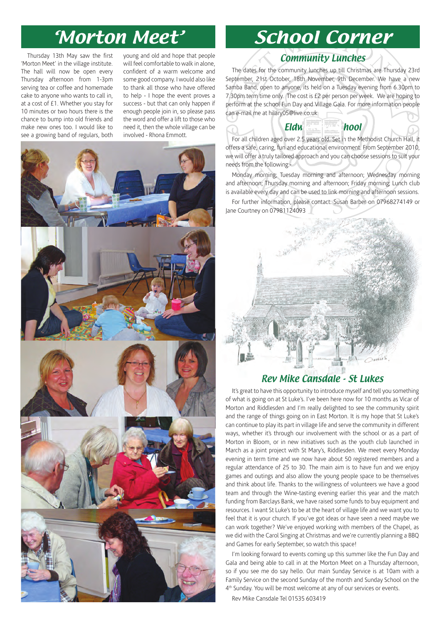Thursday 13th May saw the first 'Morton Meet' in the village institute. The hall will now be open every Thursday afternoon from 1-3pm serving tea or coffee and homemade cake to anyone who wants to call in, at a cost of £1. Whether you stay for 10 minutes or two hours there is the chance to bump into old friends and make new ones too. I would like to see a growing band of regulars, both young and old and hope that people will feel comfortable to walk in alone, confident of a warm welcome and some good company. I would also like to thank all those who have offered to help - I hope the event proves a success - but that can only happen if enough people join in, so please pass the word and offer a lift to those who need it, then the whole village can be involved - Rhona Emmott.



## 'Morton Meet' School Corner

#### Community Lunches

The dates for the community lunches up till Christmas are Thursday 23rd September, 21st October, 18th November, 9th December. We have a new Samba Band, open to anyone, its held on a Tuesday evening from 6.30pm to 7.30pm term time only. The cost is £2 per person per week. We are hoping to perform at the school Fun Day and Village Gala. For more information people can e-mail me at hilary05@live.co.uk

For all children aged over 2.5 years old. Set in the Methodist Church Hall, it offers a safe, caring, fun and educational environment. From September 2010, we will offer a truly tailored approach and you can choose sessions to suit your needs from the following:-

Eldwick Pre-School

Monday morning; Tuesday morning and afternoon; Wednesday morning and afternoon; Thursday morning and afternoon; Friday morning; Lunch club is available every day and can be used to link morning and afternoon sessions.

For further information, please contact: Susan Barber on 07968274149 or Jane Courtney on 07981124093

#### Rev Mike Cansdale - St Lukes

It's great to have this opportunity to introduce myself and tell you something of what is going on at St Luke's. I've been here now for 10 months as Vicar of Morton and Riddlesden and I'm really delighted to see the community spirit and the range of things going on in East Morton. It is my hope that St Luke's can continue to play its part in village life and serve the community in different ways, whether it's through our involvement with the school or as a part of Morton in Bloom, or in new initiatives such as the youth club launched in March as a joint project with St Mary's, Riddlesden. We meet every Monday evening in term time and we now have about 50 registered members and a regular attendance of 25 to 30. The main aim is to have fun and we enjoy games and outings and also allow the young people space to be themselves and think about life. Thanks to the willingness of volunteers we have a good team and through the Wine-tasting evening earlier this year and the match funding from Barclays Bank, we have raised some funds to buy equipment and resources. I want St Luke's to be at the heart of village life and we want you to feel that it is your church. If you've got ideas or have seen a need maybe we can work together? We've enjoyed working with members of the Chapel, as we did with the Carol Singing at Christmas and we're currently planning a BBQ and Games for early September, so watch this space!

I'm looking forward to events coming up this summer like the Fun Day and Gala and being able to call in at the Morton Meet on a Thursday afternoon, so if you see me do say hello. Our main Sunday Service is at 10am with a Family Service on the second Sunday of the month and Sunday School on the 4<sup>th</sup> Sunday. You will be most welcome at any of our services or events.

Rev Mike Cansdale Tel 01535 603419